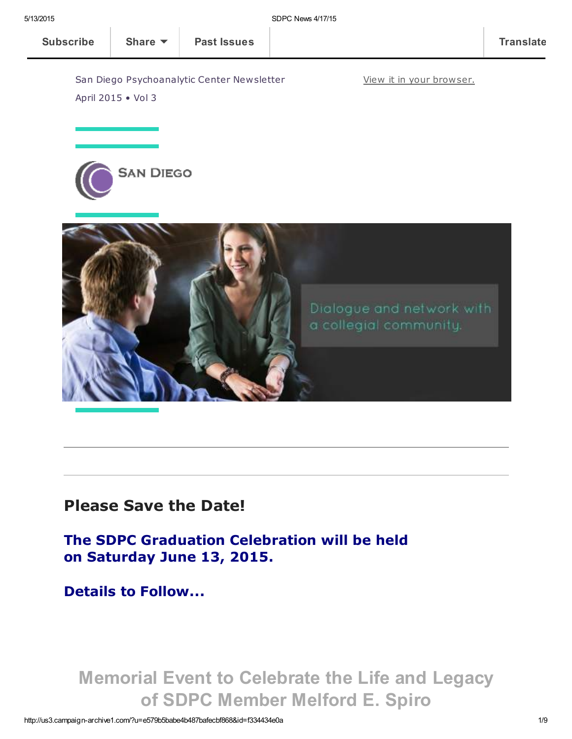April 2015 • Vol 3





## Please Save the Date!

The SDPC Graduation Celebration will be held on Saturday June 13, 2015.

Details to Follow...

Memorial Event to Celebrate the Life and Legacy of SDPC Member Melford E. Spiro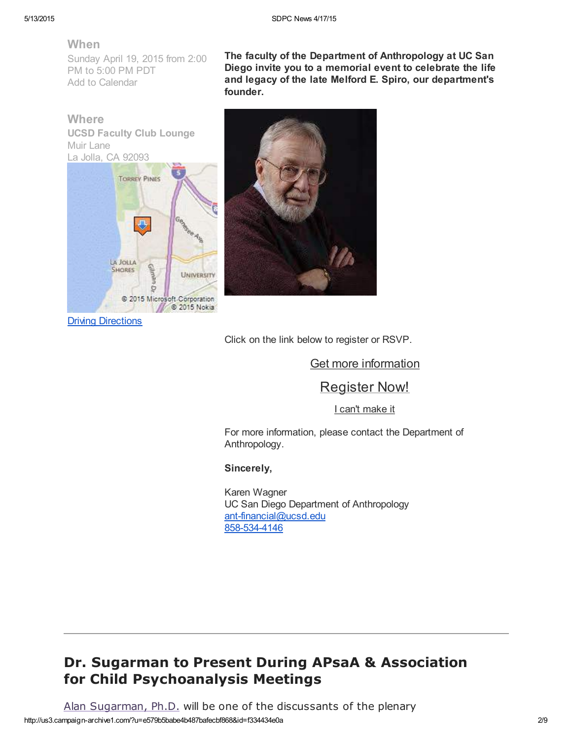#### When

Sunday April 19, 2015 from 2:00 PM to 5:00 PM PDT Add to [Calendar](http://r20.rs6.net/tn.jsp?f=001dVb55VlMRf3qdDUQ0KhFVYVW_cNvLIFT_DRSvGt6lU1KhGvMSp0IHBLov60ascjojLj-8QQQvyxPiXguMPF9tmC7V1l8EPfM_Q_qeCOmd02MrlYMykg90a7WmuQMshG1mJz0ASvpVm9M2-Qhb1CrHYeJjG4tktF4uXB43bvMHstC6iRXdvHeioVfJr4LVoLtliYf-eaF8QH0gHDfQFqKMpH0Um9byxiwSs7-obVC1V4_f_O9ejA6jLNaS0iGUPvXCqBi1bzpAyo=&c=RgCR7y7cAf56geZUp96p1-An1hcVzvLrwPgjUmWAQfeOVL5O8wya5w==&ch=ebM6tCJhhmeEaj4Z1_FxD-a3oAMNmI3h_oVRUu-IzY8VLCWKAj8Afw==)

**Where** UCSD Faculty Club Lounge Muir Lane La Jolla, CA 92093



The faculty of the Department of Anthropology at UC San Diego invite you to a memorial event to celebrate the life and legacy of the late Melford E. Spiro, our department's founder.



Click on the link below to register or RSVP.

Get more [information](http://events.r20.constantcontact.com/register/event?oeidk=a07eapqof6p4d3340aa&c=5070d010-cc2e-11e4-9897-d4ae52754dbc&ch=50b8fca0-cc2e-11e4-98c3-d4ae52754dbc)

### [Register](http://events.r20.constantcontact.com/register/regform?oeidk=a07eapqof6p4d3340aa&c=5070d010-cc2e-11e4-9897-d4ae52754dbc&ch=50b8fca0-cc2e-11e4-98c3-d4ae52754dbc) Now!

I can't [make](http://events.r20.constantcontact.com/register/decline?oeidk=a07eapqof6p4d3340aa&c=5070d010-cc2e-11e4-9897-d4ae52754dbc&ch=50b8fca0-cc2e-11e4-98c3-d4ae52754dbc) it

For more information, please contact the Department of Anthropology.

#### Sincerely,

Karen Wagner UC San Diego Department of Anthropology [ant-financial@ucsd.edu](mailto:ant-financial@ucsd.edu) [858-534-4146](https://events.r20.constantcontact.com/register/eventReg?oeidk=a07eapqof6p4d3340aa&oseq=&c=5070d010-cc2e-11e4-9897-d4ae52754dbc&ch=50b8fca0-cc2e-11e4-98c3-d4ae52754dbc)

### Dr. Sugarman to Present During APsaA & Association for Child Psychoanalysis Meetings

http://us3.campaign-archive1.com/?u=e579b5babe4b487bafecbf868&id=f334434e0a 2/9 Alan [Sugarman,](http://www.sdpsychoanalyticcenter.org/members/profiles/38#profile-main) Ph.D. will be one of the discussants of the plenary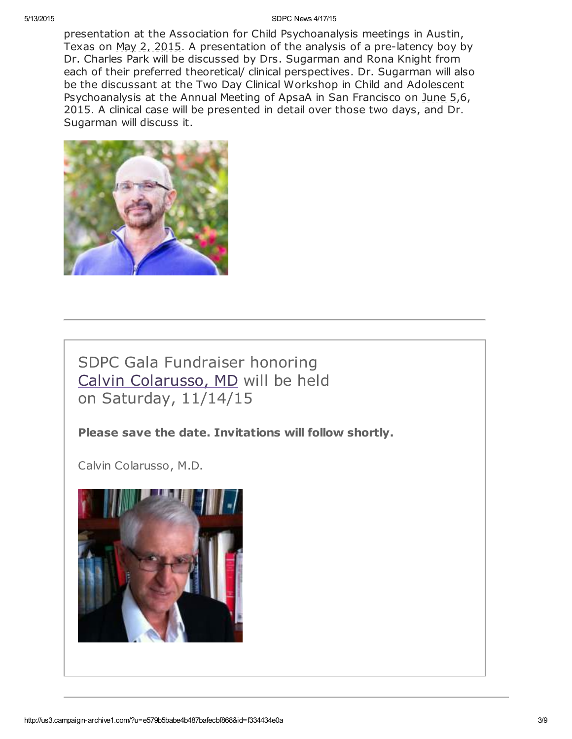#### 5/13/2015 SDPC News 4/17/15

presentation at the Association for Child Psychoanalysis meetings in Austin, Texas on May 2, 2015. A presentation of the analysis of a pre-latency boy by Dr. Charles Park will be discussed by Drs. Sugarman and Rona Knight from each of their preferred theoretical/ clinical perspectives. Dr. Sugarman will also be the discussant at the Two Day Clinical Workshop in Child and Adolescent Psychoanalysis at the Annual Meeting of ApsaA in San Francisco on June 5,6, 2015. A clinical case will be presented in detail over those two days, and Dr. Sugarman will discuss it.



## SDPC Gala Fundraiser honoring Calvin [Colarusso,](http://www.sdpsychoanalyticcenter.org/members/profiles/20#profile-main) MD will be held on Saturday, 11/14/15

#### Please save the date. Invitations will follow shortly.

Calvin Colarusso, M.D.

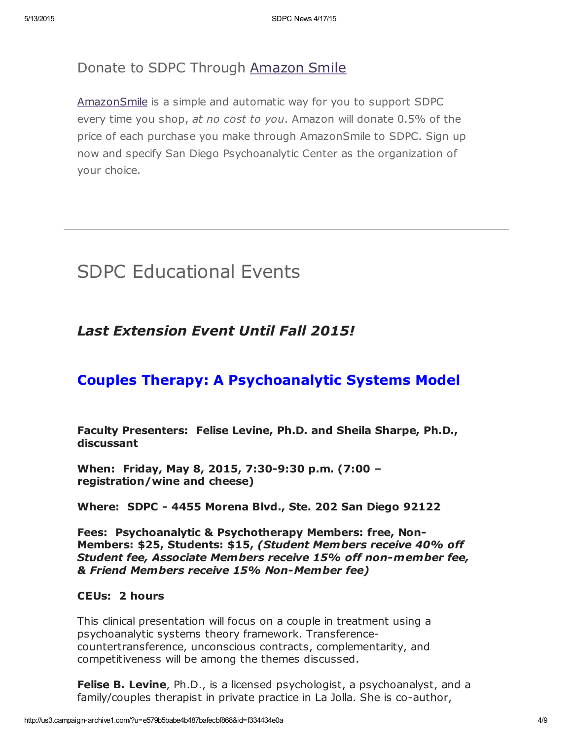### Donate to SDPC Through [Amazon](http://www.sdpsychoanalyticcenter.org/node/395#overlay-context=node/395) Smile

[AmazonSmile](http://smile.amazon.com/about) is a simple and automatic way for you to support SDPC every time you shop, at no cost to you. Amazon will donate 0.5% of the price of each purchase you make through AmazonSmile to SDPC. Sign up now and specify San Diego Psychoanalytic Center as the organization of your choice.

## SDPC Educational Events

### Last Extension Event Until Fall 2015!

### Couples Therapy: A Psychoanalytic Systems Model

Faculty Presenters: Felise Levine, Ph.D. and Sheila Sharpe, Ph.D., discussant

When: Friday, May 8, 2015, 7:30-9:30 p.m. (7:00 – registration/wine and cheese)

Where: SDPC - 4455 Morena Blvd., Ste. 202 San Diego 92122

Fees: Psychoanalytic & Psychotherapy Members: free, Non-Members: \$25, Students: \$15, (Student Members receive 40% off Student fee, Associate Members receive 15% off non-member fee, & Friend Members receive 15% Non-Member fee)

#### CEUs: 2 hours

This clinical presentation will focus on a couple in treatment using a psychoanalytic systems theory framework. Transferencecountertransference, unconscious contracts, complementarity, and competitiveness will be among the themes discussed.

**Felise B. Levine, Ph.D., is a licensed psychologist, a psychoanalyst, and a** family/couples therapist in private practice in La Jolla. She is co-author,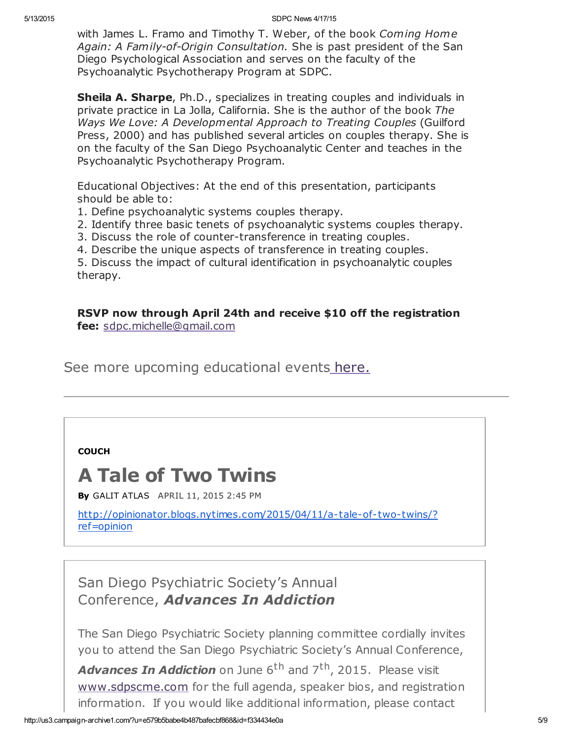with James L. Framo and Timothy T. Weber, of the book Coming Home Again: A Family-of-Origin Consultation. She is past president of the San Diego Psychological Association and serves on the faculty of the Psychoanalytic Psychotherapy Program at SDPC.

**Sheila A. Sharpe, Ph.D., specializes in treating couples and individuals in** private practice in La Jolla, California. She is the author of the book The Ways We Love: A Developmental Approach to Treating Couples (Guilford Press, 2000) and has published several articles on couples therapy. She is on the faculty of the San Diego Psychoanalytic Center and teaches in the Psychoanalytic Psychotherapy Program.

Educational Objectives: At the end of this presentation, participants should be able to:

- 1. Define psychoanalytic systems couples therapy.
- 2. Identify three basic tenets of psychoanalytic systems couples therapy.
- 3. Discuss the role of counter-transference in treating couples.
- 4. Describe the unique aspects of transference in treating couples.

5. Discuss the impact of cultural identification in psychoanalytic couples therapy.

RSVP now through April 24th and receive \$10 off the registration fee: [sdpc.michelle@gmail.com](mailto:sdpc.michelle@gmail.com)

See more upcoming educational events [here.](http://www.sdpsychoanalyticcenter.org/community-connections/upcoming-events)

#### **[COUCH](http://opinionator.blogs.nytimes.com/category/couch/?module=BlogCategory&version=Blog%20Post&action=Click&contentCollection=Opinion&pgtype=Blogs®ion=Header)**

## A Tale of Two Twins

By GALIT [ATLAS](http://opinionator.blogs.nytimes.com/author/galit-atlas/) APRIL 11, 2015 2:45 PM

[http://opinionator.blogs.nytimes.com/2015/04/11/a-tale-of-two-twins/?](http://opinionator.blogs.nytimes.com/2015/04/11/a-tale-of-two-twins/?ref=opinion) ref=opinion

San Diego Psychiatric Society's Annual Conference, Advances In Addiction

The San Diego Psychiatric Society planning committee cordially invites you to attend the San Diego Psychiatric Society's Annual Conference,

Advances In Addiction on June 6<sup>th</sup> and 7<sup>th</sup>, 2015. Please visit [www.sdpscme.](http://www.sdpscme.org/)[com](http://www.sdpscme.com/) for the full agenda, speaker bios, and registration information. If you would like additional information, please contact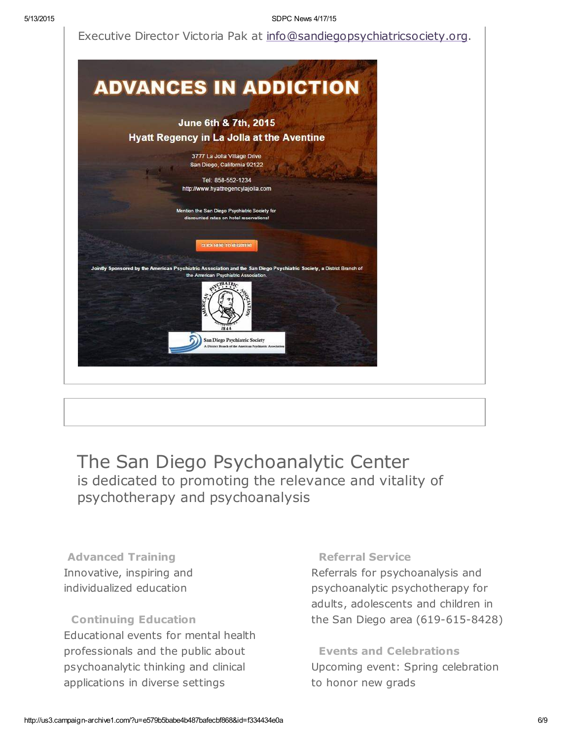Executive Director Victoria Pak at [info@sandiegopsychiatricsociety.org.](mailto:victoria.pak@gmail.com)



The San Diego Psychoanalytic Center is dedicated to promoting the relevance and vitality of psychotherapy and psychoanalysis

Advanced Training Innovative, inspiring and individualized education

Continuing Education Educational events for mental health professionals and the public about psychoanalytic thinking and clinical applications in diverse settings

#### Referral Service

Referrals for psychoanalysis and psychoanalytic psychotherapy for adults, adolescents and children in the San Diego area (619-615-8428)

Events and Celebrations Upcoming event: Spring celebration to honor new grads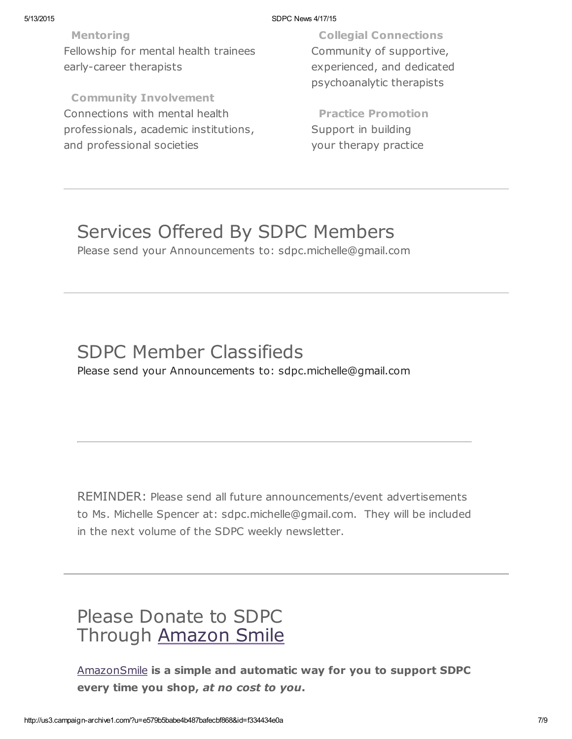#### 5/13/2015 SDPC News 4/17/15

Mentoring Fellowship for mental health trainees early-career therapists

Community Involvement Connections with mental health professionals, academic institutions, and professional societies

Collegial Connections Community of supportive, experienced, and dedicated psychoanalytic therapists

Practice Promotion Support in building your therapy practice

## Services Offered By SDPC Members

Please send your Announcements to: sdpc.michelle@gmail.com

## SDPC Member Classifieds Please send your Announcements to: sdpc.michelle@gmail.com

REMINDER: Please send all future announcements/event advertisements to Ms. Michelle Spencer at: sdpc.michelle@gmail.com. They will be included in the next volume of the SDPC weekly newsletter.

# Please Donate to SDPC Through [Amazon](http://www.sdpsychoanalyticcenter.org/node/395#overlay-context=node/395) Smile

[AmazonSmile](http://smile.amazon.com/about) is a simple and automatic way for you to support SDPC every time you shop, at no cost to you.